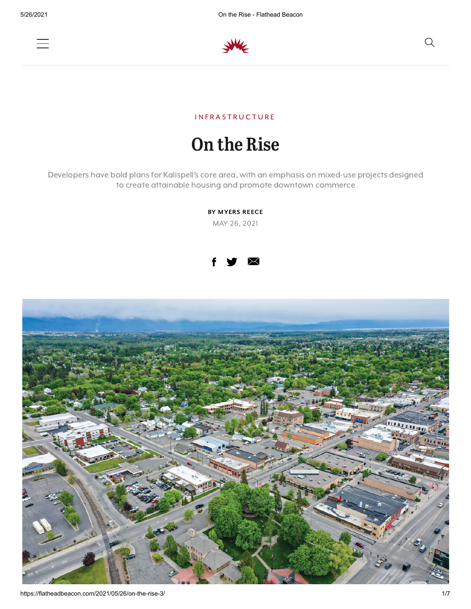



### IN FRASTRUCTURE

## On the Rise

Developers have bold plans for Kalispell's core area, with an emphasis on mixed-use projects designed to create attainable housing and promote downtown commerce

> BY MYERS REECE MAY 26, 2021



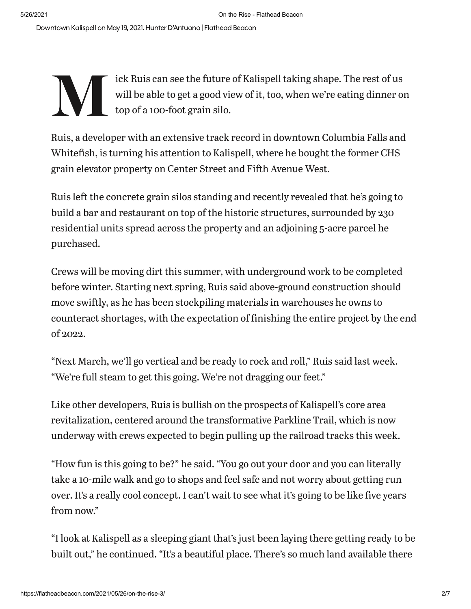Downtown Kalispell on May 19, 2021. Hunter D'Antuono | Flathead Beacon

### We will do by the control of the control of the control of the control of the control of the control of the control of the control of the control of the control of the control of the control of the control of the control o ick Ruis can see the future of Kalispell taking shape. The rest of us will be able to get a good view of it, too, when we're eating dinner on top of a 100-foot grain silo.

Ruis, a developer with an extensive track record in downtown Columbia Falls and Whitefish, is turning his attention to Kalispell, where he bought the former CHS grain elevator property on Center Street and Fifth Avenue West.

Ruis left the concrete grain silos standing and recently revealed that he's going to build a bar and restaurant on top of the historic structures, surrounded by 230 residential units spread across the property and an adjoining 5-acre parcel he purchased.

Crews will be moving dirt this summer, with underground work to be completed before winter. Starting next spring, Ruis said above-ground construction should move swiftly, as he has been stockpiling materials in warehouses he owns to counteract shortages, with the expectation of finishing the entire project by the end of 2022.

"Next March, we'll go vertical and be ready to rock and roll," Ruis said last week. "We're full steam to get this going. We're not dragging our feet."

Like other developers, Ruis is bullish on the prospects of Kalispell's core area revitalization, centered around the transformative Parkline Trail, which is now underway with crews expected to begin pulling up the railroad tracks this week.

"How fun is this going to be?" he said. "You go out your door and you can literally take a 10-mile walk and go to shops and feel safe and not worry about getting run over. It's a really cool concept. I can't wait to see what it's going to be like five years from now."

"I look at Kalispell as a sleeping giant that's just been laying there getting ready to be built out," he continued. "It's a beautiful place. There's so much land available there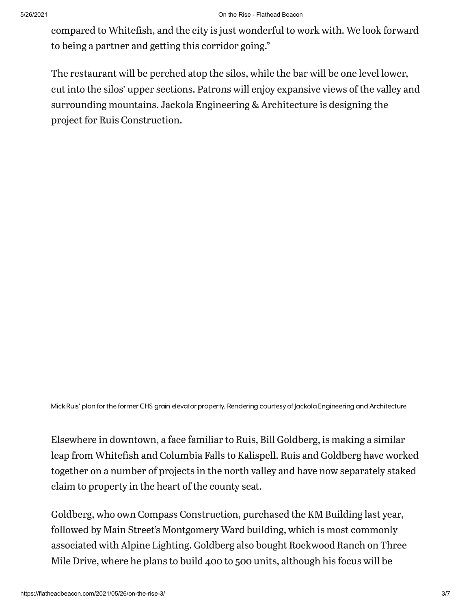compared to Whitefish, and the city is just wonderful to work with. We look forward to being a partner and getting this corridor going."

The restaurant will be perched atop the silos, while the bar will be one level lower, cut into the silos' upper sections. Patrons will enjoy expansive views of the valley and surrounding mountains. Jackola Engineering & Architecture is designing the project for Ruis Construction.

Mick Ruis' plan for the former CHS grain elevator property. Rendering courtesy of lackola Engineering and Architecture

Elsewhere in downtown, a face familiar to Ruis, Bill Goldberg, is making a similar leap from Whitefish and Columbia Falls to Kalispell. Ruis and Goldberg have worked together on a number of projects in the north valley and have now separately staked claim to property in the heart of the county seat.

Goldberg, who own Compass Construction, purchased the KM Building last year, followed by Main Street's Montgomery Ward building, which is most commonly associated with Alpine Lighting. Goldberg also bought Rockwood Ranch on Three Mile Drive, where he plans to build 400 to 500 units, although his focus will be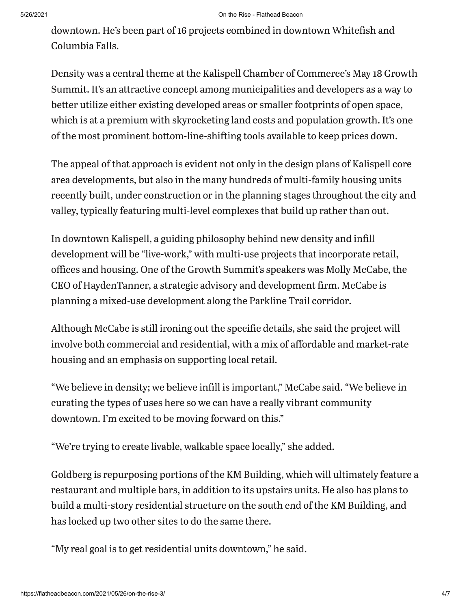#### 5/26/2021 On the Rise - Flathead Beacon

downtown. He's been part of 16 projects combined in downtown Whitefish and Columbia Falls.

Density was a central theme at the Kalispell Chamber of Commerce's May 18 Growth Summit. It's an attractive concept among municipalities and developers as a way to better utilize either existing developed areas or smaller footprints of open space, which is at a premium with skyrocketing land costs and population growth. It's one of the most prominent bottom-line-shifting tools available to keep prices down.

The appeal of that approach is evident not only in the design plans of Kalispell core area developments, but also in the many hundreds of multi-family housing units recently built, under construction or in the planning stages throughout the city and valley, typically featuring multi-level complexes that build up rather than out.

In downtown Kalispell, a guiding philosophy behind new density and infill development will be "live-work," with multi-use projects that incorporate retail, offices and housing. One of the Growth Summit's speakers was Molly McCabe, the CEO of HaydenTanner, a strategic advisory and development firm. McCabe is planning a mixed-use development along the Parkline Trail corridor.

Although McCabe is still ironing out the specific details, she said the project will involve both commercial and residential, with a mix of affordable and market-rate housing and an emphasis on supporting local retail.

"We believe in density; we believe infill is important," McCabe said. "We believe in curating the types of uses here so we can have a really vibrant community downtown. I'm excited to be moving forward on this."

"We're trying to create livable, walkable space locally," she added.

Goldberg is repurposing portions of the KM Building, which will ultimately feature a restaurant and multiple bars, in addition to its upstairs units. He also has plans to build a multi-story residential structure on the south end of the KM Building, and has locked up two other sites to do the same there.

"My real goal is to get residential units downtown," he said.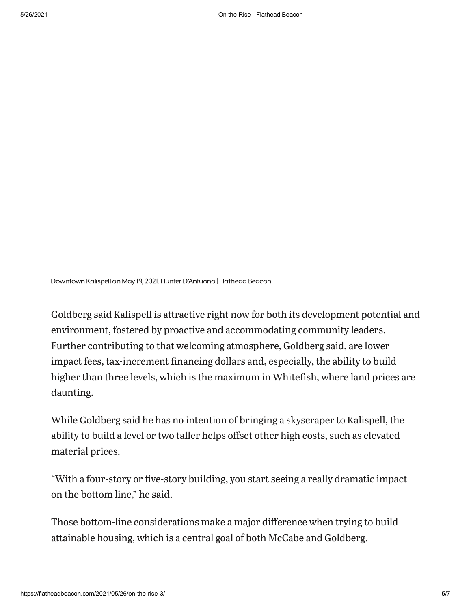Downtown Kalispell on May 19, 2021. Hunter D'Antuono | Flathead Beacon

Goldberg said Kalispell is attractive right now for both its development potential and environment, fostered by proactive and accommodating community leaders. Further contributing to that welcoming atmosphere, Goldberg said, are lower impact fees, tax-increment financing dollars and, especially, the ability to build higher than three levels, which is the maximum in Whitefish, where land prices are daunting.

While Goldberg said he has no intention of bringing a skyscraper to Kalispell, the ability to build a level or two taller helps offset other high costs, such as elevated material prices.

"With a four-story or five-story building, you start seeing a really dramatic impact on the bottom line," he said.

Those bottom-line considerations make a major difference when trying to build attainable housing, which is a central goal of both McCabe and Goldberg.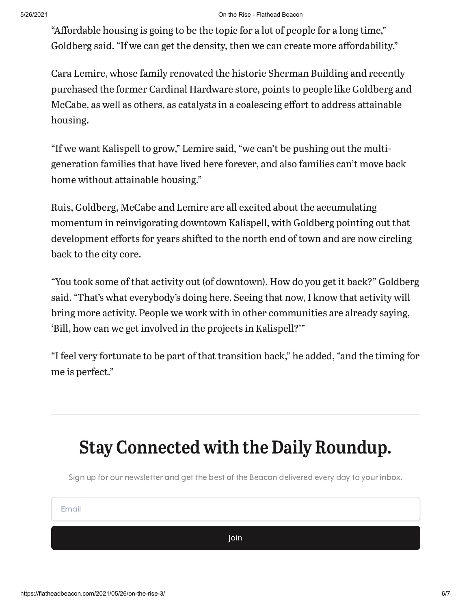#### 5/26/2021 On the Rise - Flathead Beacon

"Affordable housing is going to be the topic for a lot of people for a long time," Goldberg said. "If we can get the density, then we can create more affordability."

Cara Lemire, whose family renovated the historic Sherman Building and recently purchased the former Cardinal Hardware store, points to people like Goldberg and McCabe, as well as others, as catalysts in a coalescing effort to address attainable housing.

"If we want Kalispell to grow," Lemire said, "we can't be pushing out the multigeneration families that have lived here forever, and also families can't move back home without attainable housing."

Ruis, Goldberg, McCabe and Lemire are all excited about the accumulating momentum in reinvigorating downtown Kalispell, with Goldberg pointing out that development efforts for years shifted to the north end of town and are now circling back to the city core.

"You took some of that activity out (of downtown). How do you get it back?" Goldberg said. "That's what everybody's doing here. Seeing that now, I know that activity will bring more activity. People we work with in other communities are already saying, 'Bill, how can we get involved in the projects in Kalispell?'"

"I feel very fortunate to be part of that transition back," he added, "and the timing for me is perfect."

# Stay Connected with the Daily Roundup.

Sign up for our newsletter and get the best of the Beacon delivered every day to your inbox.

Email

Join